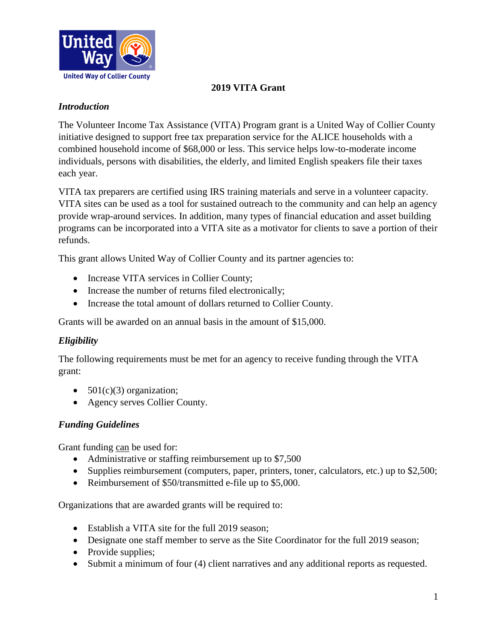

# **2019 VITA Grant**

### *Introduction*

The Volunteer Income Tax Assistance (VITA) Program grant is a United Way of Collier County initiative designed to support free tax preparation service for the ALICE households with a combined household income of \$68,000 or less. This service helps low-to-moderate income individuals, persons with disabilities, the elderly, and limited English speakers file their taxes each year.

VITA tax preparers are certified using IRS training materials and serve in a volunteer capacity. VITA sites can be used as a tool for sustained outreach to the community and can help an agency provide wrap-around services. In addition, many types of financial education and asset building programs can be incorporated into a VITA site as a motivator for clients to save a portion of their refunds.

This grant allows United Way of Collier County and its partner agencies to:

- Increase VITA services in Collier County;
- Increase the number of returns filed electronically;
- Increase the total amount of dollars returned to Collier County.

Grants will be awarded on an annual basis in the amount of \$15,000.

#### *Eligibility*

The following requirements must be met for an agency to receive funding through the VITA grant:

- $501(c)(3)$  organization;
- Agency serves Collier County.

#### *Funding Guidelines*

Grant funding can be used for:

- Administrative or staffing reimbursement up to \$7,500
- Supplies reimbursement (computers, paper, printers, toner, calculators, etc.) up to \$2,500;
- Reimbursement of \$50/transmitted e-file up to \$5,000.

Organizations that are awarded grants will be required to:

- Establish a VITA site for the full 2019 season;
- Designate one staff member to serve as the Site Coordinator for the full 2019 season;
- Provide supplies;
- Submit a minimum of four (4) client narratives and any additional reports as requested.